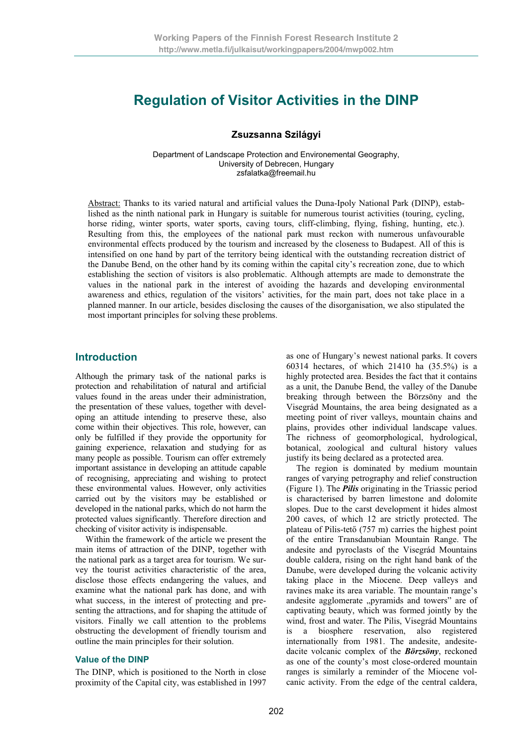# **Regulation of Visitor Activities in the DINP**

## **Zsuzsanna Szilágyi**

Department of Landscape Protection and Environemental Geography, University of Debrecen, Hungary zsfalatka@freemail.hu

Abstract: Thanks to its varied natural and artificial values the Duna-Ipoly National Park (DINP), established as the ninth national park in Hungary is suitable for numerous tourist activities (touring, cycling, horse riding, winter sports, water sports, caving tours, cliff-climbing, flying, fishing, hunting, etc.). Resulting from this, the employees of the national park must reckon with numerous unfavourable environmental effects produced by the tourism and increased by the closeness to Budapest. All of this is intensified on one hand by part of the territory being identical with the outstanding recreation district of the Danube Bend, on the other hand by its coming within the capital city's recreation zone, due to which establishing the section of visitors is also problematic. Although attempts are made to demonstrate the values in the national park in the interest of avoiding the hazards and developing environmental awareness and ethics, regulation of the visitors' activities, for the main part, does not take place in a planned manner. In our article, besides disclosing the causes of the disorganisation, we also stipulated the most important principles for solving these problems.

# **Introduction**

Although the primary task of the national parks is protection and rehabilitation of natural and artificial values found in the areas under their administration, the presentation of these values, together with developing an attitude intending to preserve these, also come within their objectives. This role, however, can only be fulfilled if they provide the opportunity for gaining experience, relaxation and studying for as many people as possible. Tourism can offer extremely important assistance in developing an attitude capable of recognising, appreciating and wishing to protect these environmental values. However, only activities carried out by the visitors may be established or developed in the national parks, which do not harm the protected values significantly. Therefore direction and checking of visitor activity is indispensable.

Within the framework of the article we present the main items of attraction of the DINP, together with the national park as a target area for tourism. We survey the tourist activities characteristic of the area, disclose those effects endangering the values, and examine what the national park has done, and with what success, in the interest of protecting and presenting the attractions, and for shaping the attitude of visitors. Finally we call attention to the problems obstructing the development of friendly tourism and outline the main principles for their solution.

### **Value of the DINP**

The DINP, which is positioned to the North in close proximity of the Capital city, was established in 1997

as one of Hungary's newest national parks. It covers 60314 hectares, of which 21410 ha (35.5%) is a highly protected area. Besides the fact that it contains as a unit, the Danube Bend, the valley of the Danube breaking through between the Börzsöny and the Visegrád Mountains, the area being designated as a meeting point of river valleys, mountain chains and plains, provides other individual landscape values. The richness of geomorphological, hydrological, botanical, zoological and cultural history values justify its being declared as a protected area.

The region is dominated by medium mountain ranges of varying petrography and relief construction (Figure 1). The *Pilis* originating in the Triassic period is characterised by barren limestone and dolomite slopes. Due to the carst development it hides almost 200 caves, of which 12 are strictly protected. The plateau of Pilis-tető  $(757 \text{ m})$  carries the highest point of the entire Transdanubian Mountain Range. The andesite and pyroclasts of the Visegrád Mountains double caldera, rising on the right hand bank of the Danube, were developed during the volcanic activity taking place in the Miocene. Deep valleys and ravines make its area variable. The mountain range's andesite agglomerate "pyramids and towers" are of captivating beauty, which was formed jointly by the wind, frost and water. The Pilis, Visegrád Mountains is a biosphere reservation, also registered internationally from 1981. The andesite, andesitedacite volcanic complex of the *Börzsöny*, reckoned as one of the county's most close-ordered mountain ranges is similarly a reminder of the Miocene volcanic activity. From the edge of the central caldera,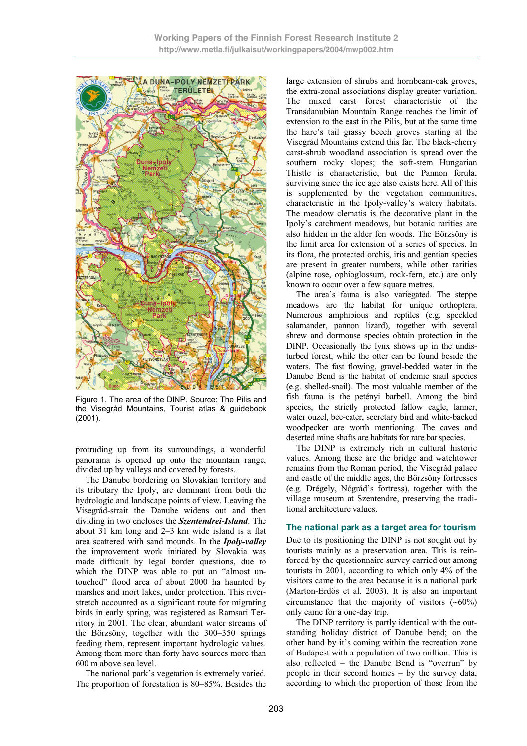

Figure 1. The area of the DINP. Source: The Pilis and the Visegrád Mountains, Tourist atlas & guidebook (2001).

protruding up from its surroundings, a wonderful panorama is opened up onto the mountain range, divided up by valleys and covered by forests.

The Danube bordering on Slovakian territory and its tributary the Ipoly, are dominant from both the hydrologic and landscape points of view. Leaving the Visegrád-strait the Danube widens out and then dividing in two encloses the *Szentendrei-Island*. The about 31 km long and 2–3 km wide island is a flat area scattered with sand mounds. In the *Ipoly-valley* the improvement work initiated by Slovakia was made difficult by legal border questions, due to which the DINP was able to put an "almost untouched" flood area of about 2000 ha haunted by marshes and mort lakes, under protection. This riverstretch accounted as a significant route for migrating birds in early spring, was registered as Ramsari Territory in 2001. The clear, abundant water streams of the Börzsöny, together with the 300–350 springs feeding them, represent important hydrologic values. Among them more than forty have sources more than 600 m above sea level.

The national park's vegetation is extremely varied. The proportion of forestation is 80–85%. Besides the large extension of shrubs and hornbeam-oak groves, the extra-zonal associations display greater variation. The mixed carst forest characteristic of the Transdanubian Mountain Range reaches the limit of extension to the east in the Pilis, but at the same time the hare's tail grassy beech groves starting at the Visegrád Mountains extend this far. The black-cherry carst-shrub woodland association is spread over the southern rocky slopes; the soft-stem Hungarian Thistle is characteristic, but the Pannon ferula, surviving since the ice age also exists here. All of this is supplemented by the vegetation communities, characteristic in the Ipoly-valley's watery habitats. The meadow clematis is the decorative plant in the Ipoly's catchment meadows, but botanic rarities are also hidden in the alder fen woods. The Börzsöny is the limit area for extension of a series of species. In its flora, the protected orchis, iris and gentian species are present in greater numbers, while other rarities (alpine rose, ophioglossum, rock-fern, etc.) are only known to occur over a few square metres.

The area's fauna is also variegated. The steppe meadows are the habitat for unique orthoptera. Numerous amphibious and reptiles (e.g. speckled salamander, pannon lizard), together with several shrew and dormouse species obtain protection in the DINP. Occasionally the lynx shows up in the undisturbed forest, while the otter can be found beside the waters. The fast flowing, gravel-bedded water in the Danube Bend is the habitat of endemic snail species (e.g. shelled-snail). The most valuable member of the fish fauna is the petényi barbell. Among the bird species, the strictly protected fallow eagle, lanner, water ouzel, bee-eater, secretary bird and white-backed woodpecker are worth mentioning. The caves and deserted mine shafts are habitats for rare bat species.

The DINP is extremely rich in cultural historic values. Among these are the bridge and watchtower remains from the Roman period, the Visegrád palace and castle of the middle ages, the Börzsöny fortresses (e.g. Drégely, Nógrád's fortress), together with the village museum at Szentendre, preserving the traditional architecture values.

#### **The national park as a target area for tourism**

Due to its positioning the DINP is not sought out by tourists mainly as a preservation area. This is reinforced by the questionnaire survey carried out among tourists in 2001, according to which only 4% of the visitors came to the area because it is a national park (Marton-Erdős et al. 2003). It is also an important circumstance that the majority of visitors  $(\sim 60\%)$ only came for a one-day trip.

The DINP territory is partly identical with the outstanding holiday district of Danube bend; on the other hand by it's coming within the recreation zone of Budapest with a population of two million. This is also reflected – the Danube Bend is "overrun" by people in their second homes – by the survey data, according to which the proportion of those from the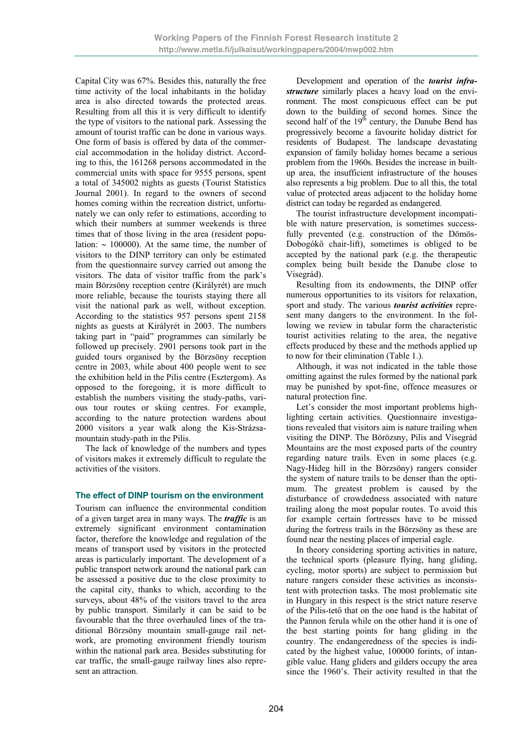Capital City was 67%. Besides this, naturally the free time activity of the local inhabitants in the holiday area is also directed towards the protected areas. Resulting from all this it is very difficult to identify the type of visitors to the national park. Assessing the amount of tourist traffic can be done in various ways. One form of basis is offered by data of the commercial accommodation in the holiday district. According to this, the 161268 persons accommodated in the commercial units with space for 9555 persons, spent a total of 345002 nights as guests (Tourist Statistics Journal 2001). In regard to the owners of second homes coming within the recreation district, unfortunately we can only refer to estimations, according to which their numbers at summer weekends is three times that of those living in the area (resident population:  $\sim$  100000). At the same time, the number of visitors to the DINP territory can only be estimated from the questionnaire survey carried out among the visitors. The data of visitor traffic from the park's main Börzsöny reception centre (Királyrét) are much more reliable, because the tourists staying there all visit the national park as well, without exception. According to the statistics 957 persons spent 2158 nights as guests at Királyrét in 2003. The numbers taking part in "paid" programmes can similarly be followed up precisely. 2901 persons took part in the guided tours organised by the Börzsöny reception centre in 2003, while about 400 people went to see the exhibition held in the Pilis centre (Esztergom). As opposed to the foregoing, it is more difficult to establish the numbers visiting the study-paths, various tour routes or skiing centres. For example, according to the nature protection wardens about 2000 visitors a year walk along the Kis-Strázsamountain study-path in the Pilis.

The lack of knowledge of the numbers and types of visitors makes it extremely difficult to regulate the activities of the visitors.

#### **The effect of DINP tourism on the environment**

Tourism can influence the environmental condition of a given target area in many ways. The *traffic* is an extremely significant environment contamination factor, therefore the knowledge and regulation of the means of transport used by visitors in the protected areas is particularly important. The development of a public transport network around the national park can be assessed a positive due to the close proximity to the capital city, thanks to which, according to the surveys, about 48% of the visitors travel to the area by public transport. Similarly it can be said to be favourable that the three overhauled lines of the traditional Börzsöny mountain small-gauge rail network, are promoting environment friendly tourism within the national park area. Besides substituting for car traffic, the small-gauge railway lines also represent an attraction.

Development and operation of the *tourist infrastructure* similarly places a heavy load on the environment. The most conspicuous effect can be put down to the building of second homes. Since the second half of the  $19<sup>th</sup>$  century, the Danube Bend has progressively become a favourite holiday district for residents of Budapest. The landscape devastating expansion of family holiday homes became a serious problem from the 1960s. Besides the increase in builtup area, the insufficient infrastructure of the houses also represents a big problem. Due to all this, the total value of protected areas adjacent to the holiday home district can today be regarded as endangered.

The tourist infrastructure development incompatible with nature preservation, is sometimes successfully prevented (e.g. construction of the Dömös-Dobogókő chair-lift), sometimes is obliged to be accepted by the national park (e.g. the therapeutic complex being built beside the Danube close to Visegrád).

Resulting from its endowments, the DINP offer numerous opportunities to its visitors for relaxation, sport and study. The various *tourist activities* represent many dangers to the environment. In the following we review in tabular form the characteristic tourist activities relating to the area, the negative effects produced by these and the methods applied up to now for their elimination (Table 1.).

Although, it was not indicated in the table those omitting against the rules formed by the national park may be punished by spot-fine, offence measures or natural protection fine.

Let's consider the most important problems highlighting certain activities. Questionnaire investigations revealed that visitors aim is nature trailing when visiting the DINP. The Börözsny, Pilis and Visegrád Mountains are the most exposed parts of the country regarding nature trails. Even in some places (e.g. Nagy-Hideg hill in the Börzsöny) rangers consider the system of nature trails to be denser than the optimum. The greatest problem is caused by the disturbance of crowdedness associated with nature trailing along the most popular routes. To avoid this for example certain fortresses have to be missed during the fortress trails in the Börzsöny as these are found near the nesting places of imperial eagle.

In theory considering sporting activities in nature, the technical sports (pleasure flying, hang gliding, cycling, motor sports) are subject to permission but nature rangers consider these activities as inconsistent with protection tasks. The most problematic site in Hungary in this respect is the strict nature reserve of the Pilis-tető that on the one hand is the habitat of the Pannon ferula while on the other hand it is one of the best starting points for hang gliding in the country. The endangeredness of the species is indicated by the highest value, 100000 forints, of intangible value. Hang gliders and gilders occupy the area since the 1960's. Their activity resulted in that the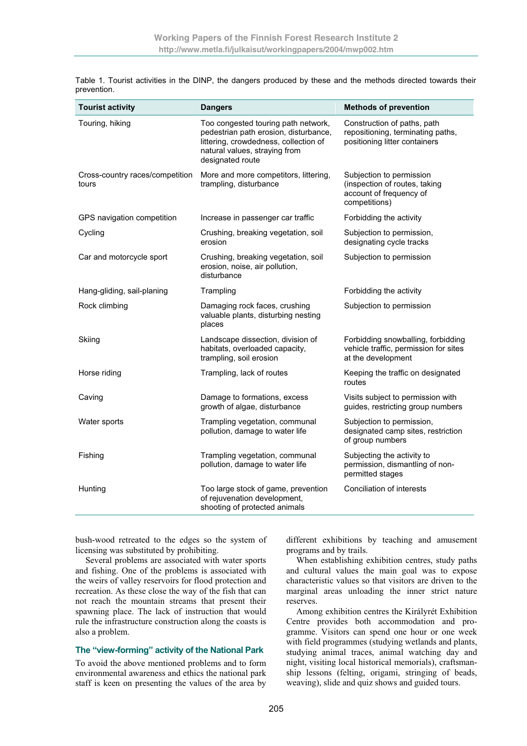| <b>Tourist activity</b>                  | <b>Dangers</b>                                                                                                                                                             | <b>Methods of prevention</b>                                                                          |
|------------------------------------------|----------------------------------------------------------------------------------------------------------------------------------------------------------------------------|-------------------------------------------------------------------------------------------------------|
| Touring, hiking                          | Too congested touring path network,<br>pedestrian path erosion, disturbance,<br>littering, crowdedness, collection of<br>natural values, straying from<br>designated route | Construction of paths, path<br>repositioning, terminating paths,<br>positioning litter containers     |
| Cross-country races/competition<br>tours | More and more competitors, littering,<br>trampling, disturbance                                                                                                            | Subjection to permission<br>(inspection of routes, taking<br>account of frequency of<br>competitions) |
| GPS navigation competition               | Increase in passenger car traffic                                                                                                                                          | Forbidding the activity                                                                               |
| Cycling                                  | Crushing, breaking vegetation, soil<br>erosion                                                                                                                             | Subjection to permission,<br>designating cycle tracks                                                 |
| Car and motorcycle sport                 | Crushing, breaking vegetation, soil<br>erosion, noise, air pollution,<br>disturbance                                                                                       | Subjection to permission                                                                              |
| Hang-gliding, sail-planing               | Trampling                                                                                                                                                                  | Forbidding the activity                                                                               |
| Rock climbing                            | Damaging rock faces, crushing<br>valuable plants, disturbing nesting<br>places                                                                                             | Subjection to permission                                                                              |
| Skiing                                   | Landscape dissection, division of<br>habitats, overloaded capacity,<br>trampling, soil erosion                                                                             | Forbidding snowballing, forbidding<br>vehicle traffic, permission for sites<br>at the development     |
| Horse riding                             | Trampling, lack of routes                                                                                                                                                  | Keeping the traffic on designated<br>routes                                                           |
| Caving                                   | Damage to formations, excess<br>growth of algae, disturbance                                                                                                               | Visits subject to permission with<br>guides, restricting group numbers                                |
| Water sports                             | Trampling vegetation, communal<br>pollution, damage to water life                                                                                                          | Subjection to permission,<br>designated camp sites, restriction<br>of group numbers                   |
| Fishing                                  | Trampling vegetation, communal<br>pollution, damage to water life                                                                                                          | Subjecting the activity to<br>permission, dismantling of non-<br>permitted stages                     |
| Hunting                                  | Too large stock of game, prevention<br>of rejuvenation development,<br>shooting of protected animals                                                                       | Conciliation of interests                                                                             |

Table 1. Tourist activities in the DINP, the dangers produced by these and the methods directed towards their prevention.

bush-wood retreated to the edges so the system of licensing was substituted by prohibiting.

Several problems are associated with water sports and fishing. One of the problems is associated with the weirs of valley reservoirs for flood protection and recreation. As these close the way of the fish that can not reach the mountain streams that present their spawning place. The lack of instruction that would rule the infrastructure construction along the coasts is also a problem.

#### **The "view-forming" activity of the National Park**

To avoid the above mentioned problems and to form environmental awareness and ethics the national park staff is keen on presenting the values of the area by different exhibitions by teaching and amusement programs and by trails.

When establishing exhibition centres, study paths and cultural values the main goal was to expose characteristic values so that visitors are driven to the marginal areas unloading the inner strict nature reserves.

Among exhibition centres the Királyrét Exhibition Centre provides both accommodation and programme. Visitors can spend one hour or one week with field programmes (studying wetlands and plants, studying animal traces, animal watching day and night, visiting local historical memorials), craftsmanship lessons (felting, origami, stringing of beads, weaving), slide and quiz shows and guided tours.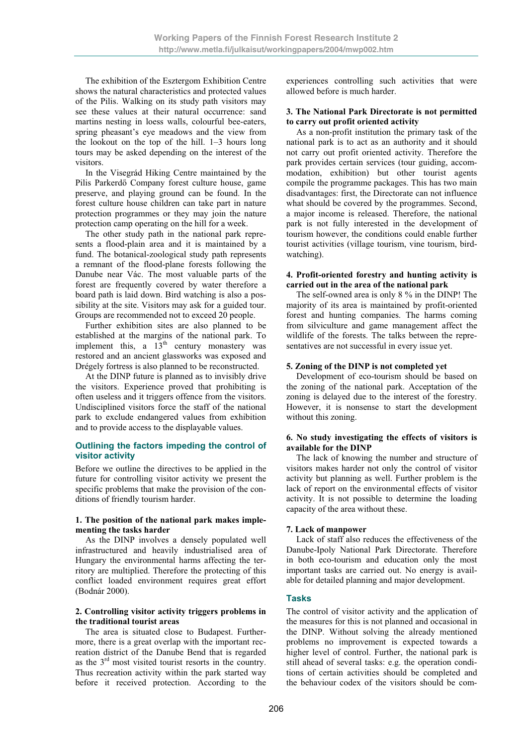The exhibition of the Esztergom Exhibition Centre shows the natural characteristics and protected values of the Pilis. Walking on its study path visitors may see these values at their natural occurrence: sand martins nesting in loess walls, colourful bee-eaters, spring pheasant's eye meadows and the view from the lookout on the top of the hill. 1–3 hours long tours may be asked depending on the interest of the visitors.

In the Visegrád Hiking Centre maintained by the Pilis Parkerdő Company forest culture house, game preserve, and playing ground can be found. In the forest culture house children can take part in nature protection programmes or they may join the nature protection camp operating on the hill for a week.

The other study path in the national park represents a flood-plain area and it is maintained by a fund. The botanical-zoological study path represents a remnant of the flood-plane forests following the Danube near Vác. The most valuable parts of the forest are frequently covered by water therefore a board path is laid down. Bird watching is also a possibility at the site. Visitors may ask for a guided tour. Groups are recommended not to exceed 20 people.

Further exhibition sites are also planned to be established at the margins of the national park. To implement this, a  $13<sup>th</sup>$  century monastery was restored and an ancient glassworks was exposed and Drégely fortress is also planned to be reconstructed.

At the DINP future is planned as to invisibly drive the visitors. Experience proved that prohibiting is often useless and it triggers offence from the visitors. Undisciplined visitors force the staff of the national park to exclude endangered values from exhibition and to provide access to the displayable values.

## **Outlining the factors impeding the control of visitor activity**

Before we outline the directives to be applied in the future for controlling visitor activity we present the specific problems that make the provision of the conditions of friendly tourism harder.

#### **1. The position of the national park makes implementing the tasks harder**

As the DINP involves a densely populated well infrastructured and heavily industrialised area of Hungary the environmental harms affecting the territory are multiplied. Therefore the protecting of this conflict loaded environment requires great effort (Bodnár 2000).

#### **2. Controlling visitor activity triggers problems in the traditional tourist areas**

The area is situated close to Budapest. Furthermore, there is a great overlap with the important recreation district of the Danube Bend that is regarded as the  $3<sup>rd</sup>$  most visited tourist resorts in the country. Thus recreation activity within the park started way before it received protection. According to the experiences controlling such activities that were allowed before is much harder.

#### **3. The National Park Directorate is not permitted to carry out profit oriented activity**

As a non-profit institution the primary task of the national park is to act as an authority and it should not carry out profit oriented activity. Therefore the park provides certain services (tour guiding, accommodation, exhibition) but other tourist agents compile the programme packages. This has two main disadvantages: first, the Directorate can not influence what should be covered by the programmes. Second, a major income is released. Therefore, the national park is not fully interested in the development of tourism however, the conditions could enable further tourist activities (village tourism, vine tourism, birdwatching).

#### **4. Profit-oriented forestry and hunting activity is carried out in the area of the national park**

The self-owned area is only 8 % in the DINP! The majority of its area is maintained by profit-oriented forest and hunting companies. The harms coming from silviculture and game management affect the wildlife of the forests. The talks between the representatives are not successful in every issue yet.

## **5. Zoning of the DINP is not completed yet**

Development of eco-tourism should be based on the zoning of the national park. Acceptation of the zoning is delayed due to the interest of the forestry. However, it is nonsense to start the development without this zoning.

#### **6. No study investigating the effects of visitors is available for the DINP**

The lack of knowing the number and structure of visitors makes harder not only the control of visitor activity but planning as well. Further problem is the lack of report on the environmental effects of visitor activity. It is not possible to determine the loading capacity of the area without these.

# **7. Lack of manpower**

Lack of staff also reduces the effectiveness of the Danube-Ipoly National Park Directorate. Therefore in both eco-tourism and education only the most important tasks are carried out. No energy is available for detailed planning and major development.

# **Tasks**

The control of visitor activity and the application of the measures for this is not planned and occasional in the DINP. Without solving the already mentioned problems no improvement is expected towards a higher level of control. Further, the national park is still ahead of several tasks: e.g. the operation conditions of certain activities should be completed and the behaviour codex of the visitors should be com